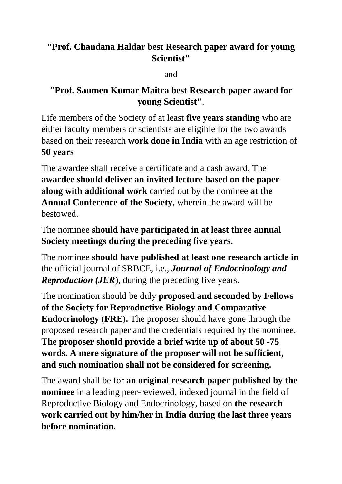## **"Prof. Chandana Haldar best Research paper award for young Scientist"**

and

## **"Prof. Saumen Kumar Maitra best Research paper award for young Scientist"**.

Life members of the Society of at least **five years standing** who are either faculty members or scientists are eligible for the two awards based on their research **work done in India** with an age restriction of **50 years**

The awardee shall receive a certificate and a cash award. The **awardee should deliver an invited lecture based on the paper along with additional work** carried out by the nominee **at the Annual Conference of the Society**, wherein the award will be bestowed.

The nominee **should have participated in at least three annual Society meetings during the preceding five years.**

The nominee **should have published at least one research article in** the official journal of SRBCE, i.e., *Journal of Endocrinology and Reproduction (JER*), during the preceding five years.

The nomination should be duly **proposed and seconded by Fellows of the Society for Reproductive Biology and Comparative Endocrinology (FRE).** The proposer should have gone through the proposed research paper and the credentials required by the nominee. **The proposer should provide a brief write up of about 50 -75 words. A mere signature of the proposer will not be sufficient, and such nomination shall not be considered for screening.**

The award shall be for **an original research paper published by the nominee** in a leading peer-reviewed, indexed journal in the field of Reproductive Biology and Endocrinology, based on **the research work carried out by him/her in India during the last three years before nomination.**